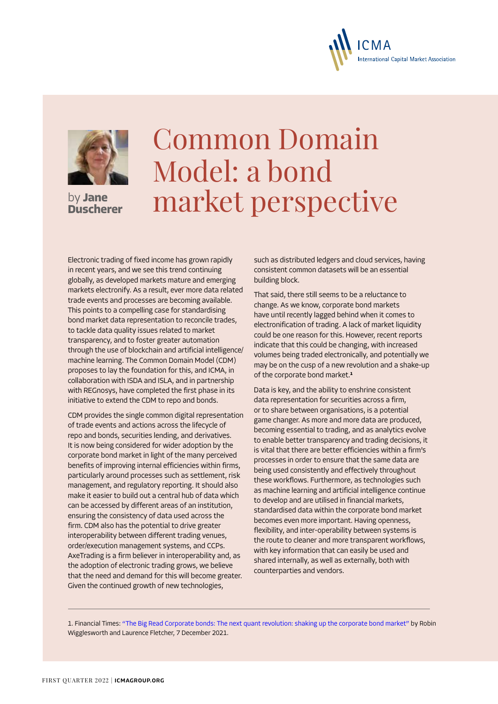

**Duscherer**

## Common Domain Model: a bond by Jane **market perspective**

Electronic trading of fixed income has grown rapidly in recent years, and we see this trend continuing globally, as developed markets mature and emerging markets electronify. As a result, ever more data related trade events and processes are becoming available. This points to a compelling case for standardising bond market data representation to reconcile trades, to tackle data quality issues related to market transparency, and to foster greater automation through the use of blockchain and artificial intelligence/ machine learning. The Common Domain Model (CDM) proposes to lay the foundation for this, and ICMA, in collaboration with ISDA and ISLA, and in partnership with REGnosys, have completed the first phase in its initiative to extend the CDM to repo and bonds.

CDM provides the single common digital representation of trade events and actions across the lifecycle of repo and bonds, securities lending, and derivatives. It is now being considered for wider adoption by the corporate bond market in light of the many perceived benefits of improving internal efficiencies within firms, particularly around processes such as settlement, risk management, and regulatory reporting. It should also make it easier to build out a central hub of data which can be accessed by different areas of an institution, ensuring the consistency of data used across the firm. CDM also has the potential to drive greater interoperability between different trading venues, order/execution management systems, and CCPs. AxeTrading is a firm believer in interoperability and, as the adoption of electronic trading grows, we believe that the need and demand for this will become greater. Given the continued growth of new technologies,

such as distributed ledgers and cloud services, having consistent common datasets will be an essential building block.

**International Capital Market Association** 

That said, there still seems to be a reluctance to change. As we know, corporate bond markets have until recently lagged behind when it comes to electronification of trading. A lack of market liquidity could be one reason for this. However, recent reports indicate that this could be changing, with increased volumes being traded electronically, and potentially we may be on the cusp of a new revolution and a shake-up of the corporate bond market.**<sup>1</sup>**

Data is key, and the ability to enshrine consistent data representation for securities across a firm, or to share between organisations, is a potential game changer. As more and more data are produced, becoming essential to trading, and as analytics evolve to enable better transparency and trading decisions, it is vital that there are better efficiencies within a firm's processes in order to ensure that the same data are being used consistently and effectively throughout these workflows. Furthermore, as technologies such as machine learning and artificial intelligence continue to develop and are utilised in financial markets, standardised data within the corporate bond market becomes even more important. Having openness, flexibility, and inter-operability between systems is the route to cleaner and more transparent workflows, with key information that can easily be used and shared internally, as well as externally, both with counterparties and vendors.

1. Financial Times: ["The Big Read Corporate bonds: The next quant revolution: shaking up the corporate bond market"](https://www.ft.com/content/12888496-2c3d-4ad9-a9cd-bd418e03cb44) by Robin Wigglesworth and Laurence Fletcher, 7 December 2021.